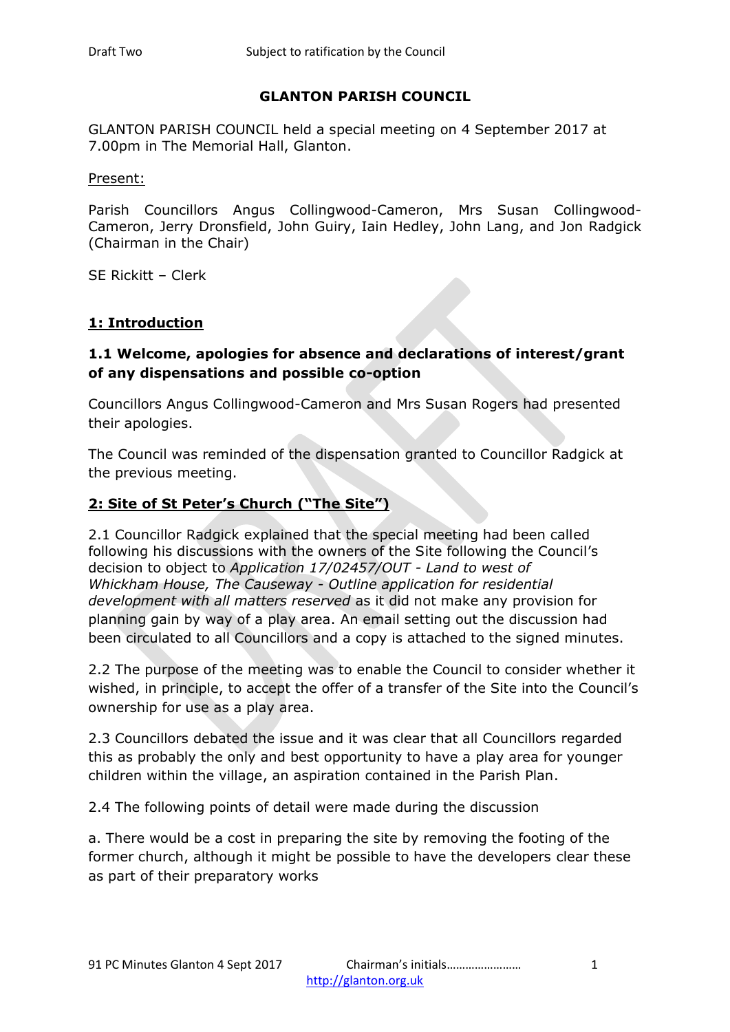## **GLANTON PARISH COUNCIL**

GLANTON PARISH COUNCIL held a special meeting on 4 September 2017 at 7.00pm in The Memorial Hall, Glanton.

Present:

Parish Councillors Angus Collingwood-Cameron, Mrs Susan Collingwood-Cameron, Jerry Dronsfield, John Guiry, Iain Hedley, John Lang, and Jon Radgick (Chairman in the Chair)

SE Rickitt – Clerk

## **1: Introduction**

## **1.1 Welcome, apologies for absence and declarations of interest/grant of any dispensations and possible co-option**

Councillors Angus Collingwood-Cameron and Mrs Susan Rogers had presented their apologies.

The Council was reminded of the dispensation granted to Councillor Radgick at the previous meeting.

## **2: Site of St Peter's Church ("The Site")**

2.1 Councillor Radgick explained that the special meeting had been called following his discussions with the owners of the Site following the Council's decision to object to *Application 17/02457/OUT - Land to west of Whickham House, The Causeway - Outline application for residential development with all matters reserved* as it did not make any provision for planning gain by way of a play area. An email setting out the discussion had been circulated to all Councillors and a copy is attached to the signed minutes.

2.2 The purpose of the meeting was to enable the Council to consider whether it wished, in principle, to accept the offer of a transfer of the Site into the Council's ownership for use as a play area.

2.3 Councillors debated the issue and it was clear that all Councillors regarded this as probably the only and best opportunity to have a play area for younger children within the village, an aspiration contained in the Parish Plan.

2.4 The following points of detail were made during the discussion

a. There would be a cost in preparing the site by removing the footing of the former church, although it might be possible to have the developers clear these as part of their preparatory works